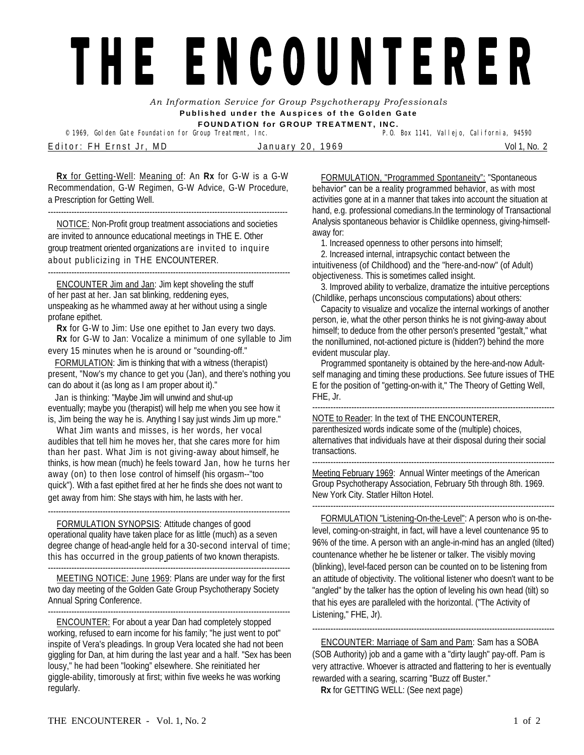## THE ENCOUNTERER

*An Information Service for Group Psychotherapy Professionals*  **Published under the Auspices of the Golden Gate FOUNDATION for GROUP TREATMENT, INC.** 

© 1969, Golden Gate Foundation for Group Treatment, Inc. Editor: FH Ernst Jr, MD 30 January 20, 1969

**Rx** for Getting-Well: Meaning of: An **Rx** for G-W is a G-W Recommendation, G-W Regimen, G-W Advice, G-W Procedure, a Prescription for Getting Well.

--------------------------------------------------------------------------------------------

NOTICE: Non-Profit group treatment associations and societies are invited to announce educational meetings in THE E. Other group treatment oriented organizations are invited to inquire about publicizing in THE ENCOUNTERER.

--------------------------------------------------------------------------------------------- ENCOUNTER Jim and Jan: Jim kept shoveling the stuff of her past at her. Jan sat blinking, reddening eyes, unspeaking as he whammed away at her without using a single

profane epithet.

**Rx** for G-W to Jim: Use one epithet to Jan every two days. **Rx** for G-W to Jan: Vocalize a minimum of one syllable to Jim every 15 minutes when he is around or "sounding-off."

FORMULATION: Jim is thinking that with a witness (therapist) present, "Now's my chance to get you (Jan), and there's nothing you can do about it (as long as I am proper about it)."

Jan is thinking: "Maybe Jim will unwind and shut-up eventually; maybe you (therapist) will help me when you see how it is, Jim being the way he is. Anything I say just winds Jim up more."

What Jim wants and misses, is her words, her vocal audibles that tell him he moves her, that she cares more for him than her past. What Jim is not giving-away about himself, he thinks, is how mean (much) he feels toward Jan, how he turns her away (on) to then lose control of himself (his orgasm--"too quick"). With a fast epithet fired at her he finds she does not want to get away from him: She stays with him, he lasts with her.

---------------------------------------------------------------------------------------------

FORMULATION SYNOPSIS: Attitude changes of good operational quality have taken place for as little (much) as a seven degree change of head-angle held for a 30-second interval of time; this has occurred in the group patients of two known therapists. ---------------------------------------------------------------------------------------------

MEETING NOTICE: June 1969: Plans are under way for the first two day meeting of the Golden Gate Group Psychotherapy Society Annual Spring Conference.

--------------------------------------------------------------------------------------------- ENCOUNTER: For about a year Dan had completely stopped working, refused to earn income for his family; "he just went to pot" inspite of Vera's pleadings. In group Vera located she had not been giggling for Dan, at him during the last year and a half. "Sex has been lousy," he had been "looking" elsewhere. She reinitiated her giggle-ability, timorously at first; within five weeks he was working regularly.

FORMULATION, "Programmed Spontaneity": "Spontaneous behavior" can be a reality programmed behavior, as with most activities gone at in a manner that takes into account the situation at hand, e.g. professional comedians.In the terminology of Transactional Analysis spontaneous behavior is Childlike openness, giving-himselfaway for:

1. Increased openness to other persons into himself;

 2. Increased internal, intrapsychic contact between the intuitiveness (of Childhood) and the "here-and-now" (of Adult) objectiveness. This is sometimes called insight.

 3. Improved ability to verbalize, dramatize the intuitive perceptions (Childlike, perhaps unconscious computations) about others:

 Capacity to visualize and vocalize the internal workings of another person, ie, what the other person thinks he is not giving-away about himself; to deduce from the other person's presented "gestalt," what the nonillumined, not-actioned picture is (hidden?) behind the more evident muscular play.

Programmed spontaneity is obtained by the here-and-now Adultself managing and timing these productions. See future issues of THE E for the position of "getting-on-with it," The Theory of Getting Well, FHE, Jr.

---------------------------------------------------------------------------------------------

NOTE to Reader: In the text of THE ENCOUNTERER, parenthesized words indicate some of the (multiple) choices, alternatives that individuals have at their disposal during their social transactions.

--------------------------------------------------------------------------------------------- Meeting February 1969: Annual Winter meetings of the American Group Psychotherapy Association, February 5th through 8th. 1969.

New York City. Statler Hilton Hotel.

---------------------------------------------------------------------------------------------

FORMULATION "Listening-On-the-Level": A person who is on-thelevel, coming-on-straight, in fact, will have a level countenance 95 to 96% of the time. A person with an angle-in-mind has an angled (tilted) countenance whether he be listener or talker. The visibly moving (blinking), level-faced person can be counted on to be listening from an attitude of objectivity. The volitional listener who doesn't want to be "angled" by the talker has the option of leveling his own head (tilt) so that his eyes are paralleled with the horizontal. ("The Activity of Listening," FHE, Jr).

---------------------------------------------------------------------------------------------

ENCOUNTER: Marriage of Sam and Pam: Sam has a SOBA (SOB Authority) job and a game with a "dirty laugh" pay-off. Pam is very attractive. Whoever is attracted and flattering to her is eventually rewarded with a searing, scarring "Buzz off Buster."

**Rx** for GETTING WELL: (See next page)